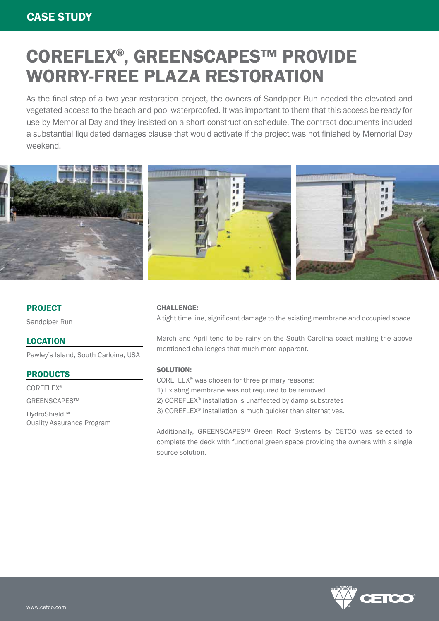# COREFLEX®, GREENSCAPES™ PROVIDE WORRY-FREE PLAZA RESTORATION

As the final step of a two year restoration project, the owners of Sandpiper Run needed the elevated and vegetated access to the beach and pool waterproofed. It was important to them that this access be ready for use by Memorial Day and they insisted on a short construction schedule. The contract documents included a substantial liquidated damages clause that would activate if the project was not finished by Memorial Day weekend.



## PROJECT

Sandpiper Run

### LOCATION

Pawley's Island, South Carloina, USA

### PRODUCTS

COREFLEX® GREENSCAPES™ HydroShield™ Quality Assurance Program

#### CHALLENGE:

A tight time line, significant damage to the existing membrane and occupied space.

March and April tend to be rainy on the South Carolina coast making the above mentioned challenges that much more apparent.

#### SOLUTION:

COREFLEX® was chosen for three primary reasons: 1) Existing membrane was not required to be removed 2) COREFLEX® installation is unaffected by damp substrates 3) COREFLEX® installation is much quicker than alternatives.

Additionally, GREENSCAPES™ Green Roof Systems by CETCO was selected to complete the deck with functional green space providing the owners with a single source solution.